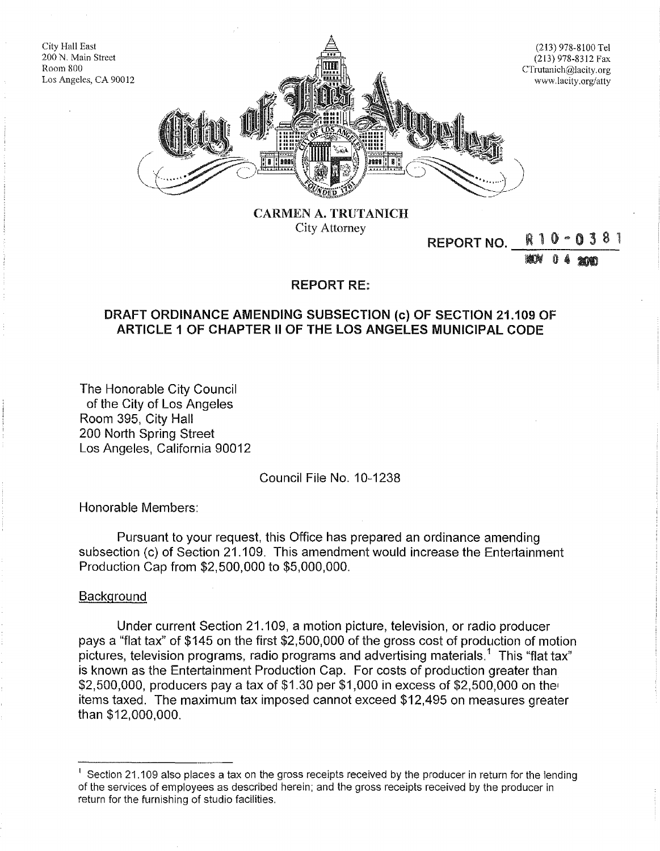

CARMEN A. TRUTANICH City Attorney

# REPORT NO.

**BUN** 0 4 2000

### REPORT RE:

## DRAFT ORDINANCE AMENDING SUBSECTION (c) OF SECTION 21.109 OF ARTICLE 1 OF CHAPTER II OF THE LOS ANGELES MUNICIPAL CODE

The Honorable City Council of the City of Los Angeles Room 395, City Hall 200 North Spring Street Los Angeles, California 90012

Council File No. 10-1238

Honorable Members:

Pursuant to your request, this Office has prepared an ordinance amending subsection (c) of Section 21.109. This amendment would increase the Entertainment Production Cap from \$2,500,000 to \$5,000,000.

#### **Background**

City Hall East

Room 800

Under current Section 21.109, a motion picture, television, or radio producer pays a "flat tax" of \$145 on the first \$2,500,000 of the gross cost of production of motion pictures, television programs, radio programs and advertising materials.<sup>1</sup> This "flat tax" is known as the Entertainment Production Cap. For costs of production greater than  $$2,500,000$ , producers pay a tax of  $$1.30$  per  $$1,000$  in excess of  $$2,500,000$  on the items taxed. The maximum tax imposed cannot exceed \$12,495 on measures greater than \$12,000,000.

 $<sup>1</sup>$  Section 21.109 also places a tax on the gross receipts received by the producer in return for the lending</sup> of the services of employees as described herein; and the gross receipts received by the producer in return for the furnishing of studio facilities.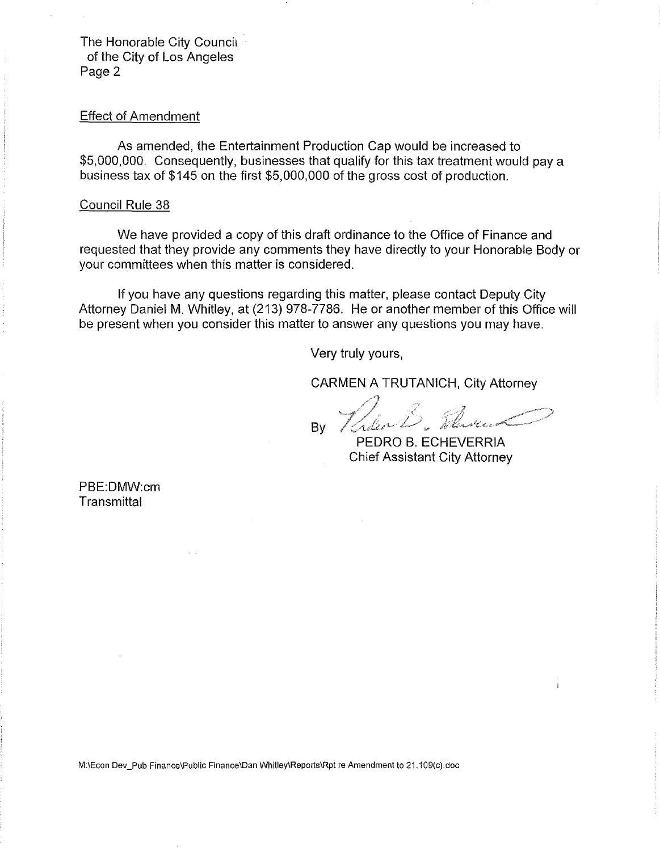The Honorable City Council<sup>1</sup> of the City of Los Angeles Page 2

### Effect of Amendment

As amended, the Entertainment Production Cap would be increased to \$5,000,000. Consequently, businesses that qualify for this tax treatment would pay a business tax of \$145 on the first \$5,000,000 of the gross cost of production.

#### Council Rule 38

We have provided a copy of this draft ordinance to the Office of Finance and requested that they provide any comments they have directly to your Honorable Body or your committees when this matter is considered.

If you have any questions regarding this matter, please contact Deputy City Attorney Daniel M. Whitley, at (213) 978-7786. He or another member of this Office will be present when you consider this matter to answer any questions you may have.

Very truly yours,

CARMEN A TRUTANICH, City Attorney

Calen B. Thomas P By

PEDRO B. ECHEVERRIA Chief Assistant City Attorney

PBE:DMW:cm **Transmittal** 

M:\Econ Dev\_Pub Finance\Public Finance\Dan Whitley\Reports\Rpt re Amendment to 21. 109(c).doc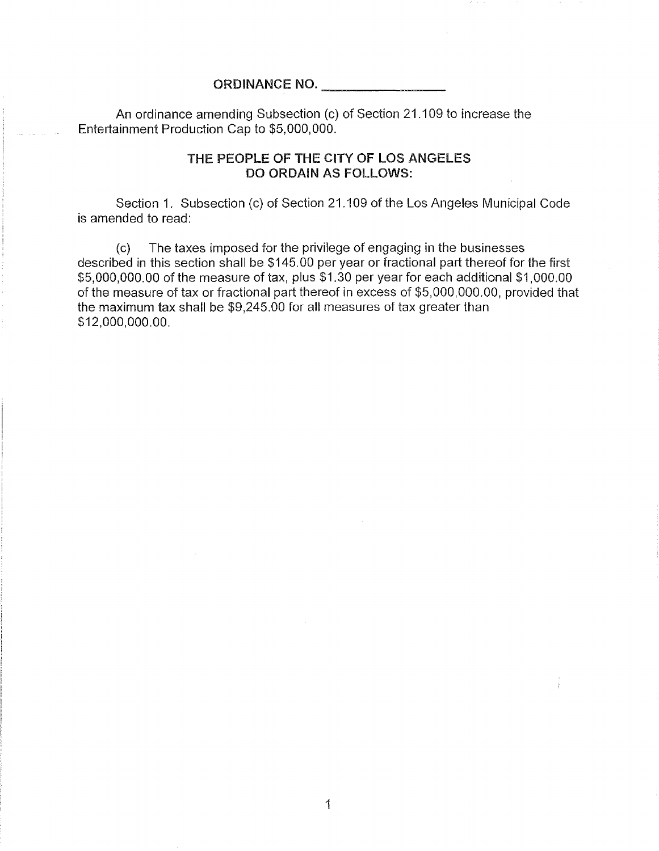### ORDINANCE NO. \_\_\_\_\_\_\_\_\_\_\_

An ordinance amending Subsection (c) of Section 21.109 to increase the Entertainment Production Cap to \$5,000,000.

## THE PEOPLE OF THE CITY OF LOS ANGELES DO ORDAIN AS FOLLOWS:

Section 1. Subsection (c) of Section 21.109 of the Los Angeles Municipal Code is amended to read:

(c) The taxes imposed for the privilege of engaging in the businesses described in this section shall be \$145.00 per year or fractional part thereof for the first \$5,000,000.00 of the measure of tax, plus \$1.30 per year for each additional \$1,000.00 of the measure of tax or fractional part thereof in excess of \$5,000,000.00, provided that the maximum tax shall be \$9,245.00 for all measures of tax greater than \$12,000,000.00.